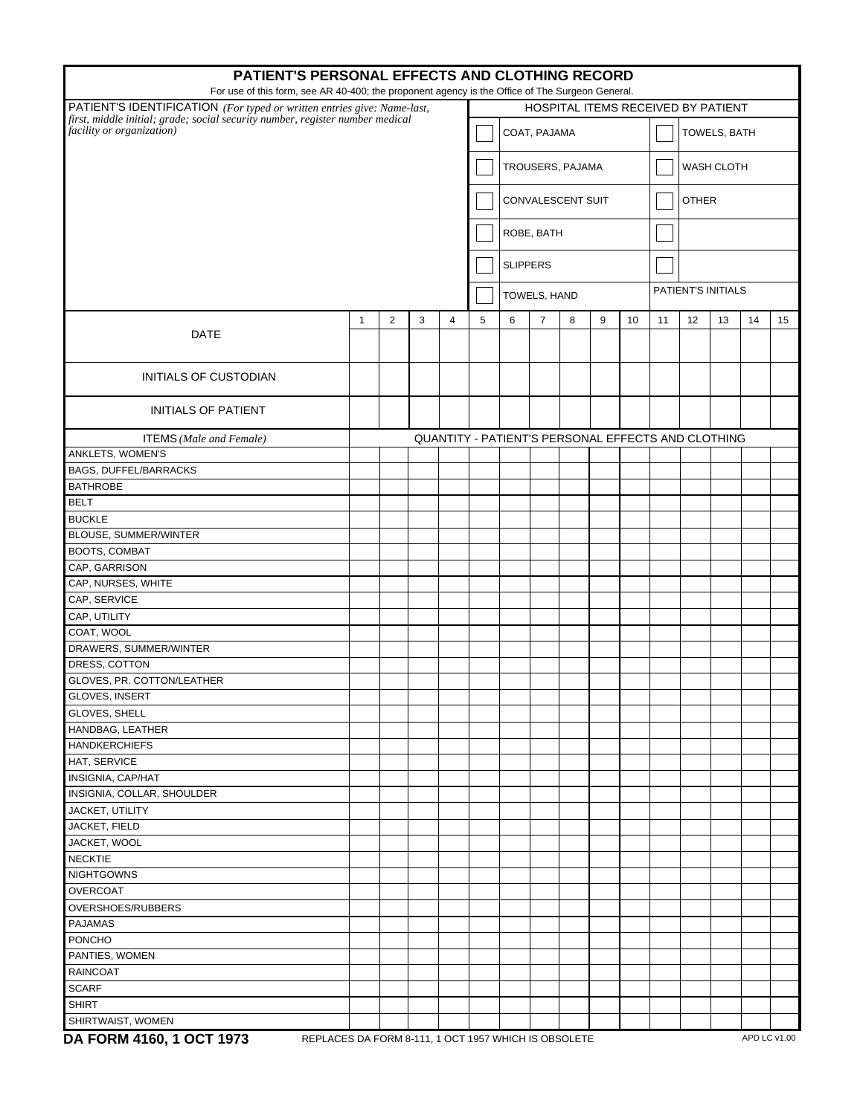| PATIENT'S PERSONAL EFFECTS AND CLOTHING RECORD                                                                                                                             |                                                      |                |   |   |   |                                                    |                   |   |   |    |                   |                    |    |              |    |  |  |
|----------------------------------------------------------------------------------------------------------------------------------------------------------------------------|------------------------------------------------------|----------------|---|---|---|----------------------------------------------------|-------------------|---|---|----|-------------------|--------------------|----|--------------|----|--|--|
| For use of this form, see AR 40-400; the proponent agency is the Office of The Surgeon General.<br>PATIENT'S IDENTIFICATION (For typed or written entries give: Name-last, |                                                      |                |   |   |   | HOSPITAL ITEMS RECEIVED BY PATIENT                 |                   |   |   |    |                   |                    |    |              |    |  |  |
| first, middle initial; grade; social security number, register number medical<br>facility or organization)                                                                 |                                                      |                |   |   |   | COAT, PAJAMA                                       |                   |   |   |    |                   | TOWELS, BATH       |    |              |    |  |  |
|                                                                                                                                                                            |                                                      |                |   |   |   |                                                    | TROUSERS, PAJAMA  |   |   |    | <b>WASH CLOTH</b> |                    |    |              |    |  |  |
|                                                                                                                                                                            |                                                      |                |   |   |   |                                                    | CONVALESCENT SUIT |   |   |    | <b>OTHER</b>      |                    |    |              |    |  |  |
|                                                                                                                                                                            |                                                      |                |   |   |   | ROBE, BATH<br><b>SLIPPERS</b>                      |                   |   |   |    |                   |                    |    |              |    |  |  |
|                                                                                                                                                                            |                                                      |                |   |   |   |                                                    |                   |   |   |    |                   |                    |    |              |    |  |  |
|                                                                                                                                                                            |                                                      |                |   |   |   |                                                    | TOWELS, HAND      |   |   |    |                   | PATIENT'S INITIALS |    |              |    |  |  |
|                                                                                                                                                                            |                                                      |                |   |   |   |                                                    |                   |   |   |    |                   |                    |    |              |    |  |  |
| <b>DATE</b>                                                                                                                                                                | $\mathbf{1}$                                         | $\overline{2}$ | 3 | 4 | 5 | 6                                                  | $\overline{7}$    | 8 | 9 | 10 | 11                | 12                 | 13 | 14           | 15 |  |  |
| <b>INITIALS OF CUSTODIAN</b>                                                                                                                                               |                                                      |                |   |   |   |                                                    |                   |   |   |    |                   |                    |    |              |    |  |  |
| <b>INITIALS OF PATIENT</b>                                                                                                                                                 |                                                      |                |   |   |   |                                                    |                   |   |   |    |                   |                    |    |              |    |  |  |
| <b>ITEMS</b> (Male and Female)                                                                                                                                             |                                                      |                |   |   |   | QUANTITY - PATIENT'S PERSONAL EFFECTS AND CLOTHING |                   |   |   |    |                   |                    |    |              |    |  |  |
| ANKLETS, WOMEN'S                                                                                                                                                           |                                                      |                |   |   |   |                                                    |                   |   |   |    |                   |                    |    |              |    |  |  |
| <b>BAGS, DUFFEL/BARRACKS</b>                                                                                                                                               |                                                      |                |   |   |   |                                                    |                   |   |   |    |                   |                    |    |              |    |  |  |
| <b>BATHROBE</b>                                                                                                                                                            |                                                      |                |   |   |   |                                                    |                   |   |   |    |                   |                    |    |              |    |  |  |
| <b>BELT</b>                                                                                                                                                                |                                                      |                |   |   |   |                                                    |                   |   |   |    |                   |                    |    |              |    |  |  |
| <b>BUCKLE</b>                                                                                                                                                              |                                                      |                |   |   |   |                                                    |                   |   |   |    |                   |                    |    |              |    |  |  |
| BLOUSE, SUMMER/WINTER                                                                                                                                                      |                                                      |                |   |   |   |                                                    |                   |   |   |    |                   |                    |    |              |    |  |  |
| BOOTS, COMBAT                                                                                                                                                              |                                                      |                |   |   |   |                                                    |                   |   |   |    |                   |                    |    |              |    |  |  |
| CAP, GARRISON                                                                                                                                                              |                                                      |                |   |   |   |                                                    |                   |   |   |    |                   |                    |    |              |    |  |  |
| CAP, NURSES, WHITE                                                                                                                                                         |                                                      |                |   |   |   |                                                    |                   |   |   |    |                   |                    |    |              |    |  |  |
| CAP, SERVICE                                                                                                                                                               |                                                      |                |   |   |   |                                                    |                   |   |   |    |                   |                    |    |              |    |  |  |
| CAP, UTILITY                                                                                                                                                               |                                                      |                |   |   |   |                                                    |                   |   |   |    |                   |                    |    |              |    |  |  |
| COAT, WOOL                                                                                                                                                                 |                                                      |                |   |   |   |                                                    |                   |   |   |    |                   |                    |    |              |    |  |  |
| DRAWERS, SUMMER/WINTER                                                                                                                                                     |                                                      |                |   |   |   |                                                    |                   |   |   |    |                   |                    |    |              |    |  |  |
| DRESS, COTTON                                                                                                                                                              |                                                      |                |   |   |   |                                                    |                   |   |   |    |                   |                    |    |              |    |  |  |
| GLOVES, PR. COTTON/LEATHER                                                                                                                                                 |                                                      |                |   |   |   |                                                    |                   |   |   |    |                   |                    |    |              |    |  |  |
| GLOVES, INSERT                                                                                                                                                             |                                                      |                |   |   |   |                                                    |                   |   |   |    |                   |                    |    |              |    |  |  |
| GLOVES, SHELL                                                                                                                                                              |                                                      |                |   |   |   |                                                    |                   |   |   |    |                   |                    |    |              |    |  |  |
| HANDBAG, LEATHER                                                                                                                                                           |                                                      |                |   |   |   |                                                    |                   |   |   |    |                   |                    |    |              |    |  |  |
| <b>HANDKERCHIEFS</b>                                                                                                                                                       |                                                      |                |   |   |   |                                                    |                   |   |   |    |                   |                    |    |              |    |  |  |
| HAT, SERVICE                                                                                                                                                               |                                                      |                |   |   |   |                                                    |                   |   |   |    |                   |                    |    |              |    |  |  |
| INSIGNIA, CAP/HAT                                                                                                                                                          |                                                      |                |   |   |   |                                                    |                   |   |   |    |                   |                    |    |              |    |  |  |
| INSIGNIA, COLLAR, SHOULDER                                                                                                                                                 |                                                      |                |   |   |   |                                                    |                   |   |   |    |                   |                    |    |              |    |  |  |
| JACKET, UTILITY                                                                                                                                                            |                                                      |                |   |   |   |                                                    |                   |   |   |    |                   |                    |    |              |    |  |  |
| JACKET, FIELD                                                                                                                                                              |                                                      |                |   |   |   |                                                    |                   |   |   |    |                   |                    |    |              |    |  |  |
| JACKET, WOOL                                                                                                                                                               |                                                      |                |   |   |   |                                                    |                   |   |   |    |                   |                    |    |              |    |  |  |
| <b>NECKTIE</b><br><b>NIGHTGOWNS</b>                                                                                                                                        |                                                      |                |   |   |   |                                                    |                   |   |   |    |                   |                    |    |              |    |  |  |
| <b>OVERCOAT</b>                                                                                                                                                            |                                                      |                |   |   |   |                                                    |                   |   |   |    |                   |                    |    |              |    |  |  |
| OVERSHOES/RUBBERS                                                                                                                                                          |                                                      |                |   |   |   |                                                    |                   |   |   |    |                   |                    |    |              |    |  |  |
| <b>PAJAMAS</b>                                                                                                                                                             |                                                      |                |   |   |   |                                                    |                   |   |   |    |                   |                    |    |              |    |  |  |
| PONCHO                                                                                                                                                                     |                                                      |                |   |   |   |                                                    |                   |   |   |    |                   |                    |    |              |    |  |  |
| PANTIES, WOMEN                                                                                                                                                             |                                                      |                |   |   |   |                                                    |                   |   |   |    |                   |                    |    |              |    |  |  |
| <b>RAINCOAT</b>                                                                                                                                                            |                                                      |                |   |   |   |                                                    |                   |   |   |    |                   |                    |    |              |    |  |  |
| <b>SCARF</b>                                                                                                                                                               |                                                      |                |   |   |   |                                                    |                   |   |   |    |                   |                    |    |              |    |  |  |
| <b>SHIRT</b>                                                                                                                                                               |                                                      |                |   |   |   |                                                    |                   |   |   |    |                   |                    |    |              |    |  |  |
| SHIRTWAIST, WOMEN                                                                                                                                                          |                                                      |                |   |   |   |                                                    |                   |   |   |    |                   |                    |    |              |    |  |  |
| DA FORM 4160, 1 OCT 1973                                                                                                                                                   | REPLACES DA FORM 8-111, 1 OCT 1957 WHICH IS OBSOLETE |                |   |   |   |                                                    |                   |   |   |    |                   |                    |    | APD LC v1.00 |    |  |  |